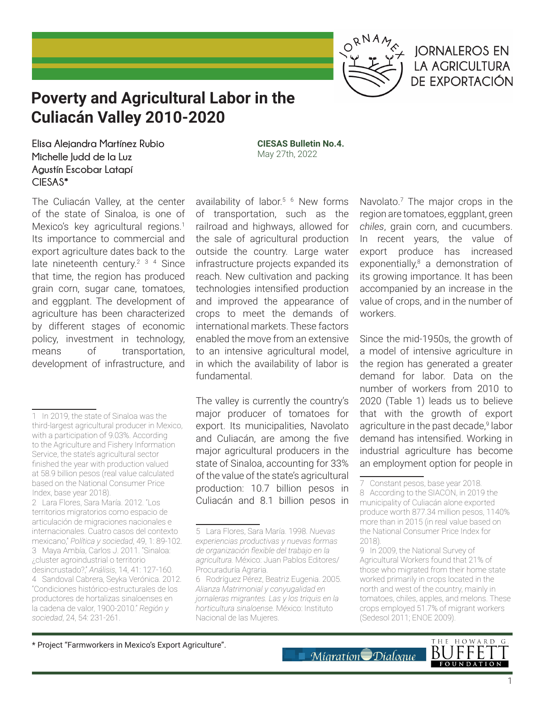

## **IORNALEROS EN LA AGRICULTURA DE EXPORTACIÓN**

# **Poverty and Agricultural Labor in the Culiacán Valley 2010-2020**

**Elisa Alejandra Martínez Rubio Michelle Judd de la Luz Agustín Escobar Latapí CIESAS\*** 

The Culiacán Valley, at the center of the state of Sinaloa, is one of Mexico's key agricultural regions.<sup>1</sup> Its importance to commercial and export agriculture dates back to the late nineteenth century.<sup>2 3 4</sup> Since that time, the region has produced grain corn, sugar cane, tomatoes, and eggplant. The development of agriculture has been characterized by different stages of economic policy, investment in technology, means of transportation, development of infrastructure, and

availability of labor.<sup>5 6</sup> New forms of transportation, such as the railroad and highways, allowed for the sale of agricultural production outside the country. Large water infrastructure projects expanded its reach. New cultivation and packing technologies intensified production and improved the appearance of crops to meet the demands of international markets. These factors enabled the move from an extensive to an intensive agricultural model, in which the availability of labor is fundamental.

**CIESAS Bulletin No.4.** May 27th, 2022

The valley is currently the country's major producer of tomatoes for export. Its municipalities, Navolato and Culiacán, are among the five major agricultural producers in the state of Sinaloa, accounting for 33% of the value of the state's agricultural production: 10.7 billion pesos in Culiacán and 8.1 billion pesos in

Navolato.7 The major crops in the region are tomatoes, eggplant, green *chiles*, grain corn, and cucumbers. In recent years, the value of export produce has increased exponentially,<sup>8</sup> a demonstration of its growing importance. It has been accompanied by an increase in the value of crops, and in the number of workers.

Since the mid-1950s, the growth of a model of intensive agriculture in the region has generated a greater demand for labor. Data on the number of workers from 2010 to 2020 (Table 1) leads us to believe that with the growth of export agriculture in the past decade,<sup>9</sup> labor demand has intensified. Working in industrial agriculture has become an employment option for people in

\* Project "Farmworkers in Mexico's Export Agriculture".



<sup>1</sup> In 2019, the state of Sinaloa was the third-largest agricultural producer in Mexico, with a participation of 9.03%. According to the Agriculture and Fishery Information Service, the state's agricultural sector finished the year with production valued at 58.9 billion pesos (real value calculated based on the National Consumer Price Index, base year 2018).

<sup>2</sup> Lara Flores, Sara María. 2012. "Los territorios migratorios como espacio de articulación de migraciones nacionales e internacionales. Cuatro casos del contexto mexicano," *Política y sociedad*, 49, 1: 89-102. 3 Maya Ambía, Carlos J. 2011. "Sinaloa: ¿cluster agroindustrial o territorio desincrustado?," *Análisis*, 14, 41: 127-160. 4 Sandoval Cabrera, Seyka Verónica. 2012. "Condiciones histórico-estructurales de los productores de hortalizas sinaloenses en la cadena de valor, 1900-2010." *Región y sociedad*, 24, 54: 231-261.

<sup>5</sup> Lara Flores, Sara María. 1998. *Nuevas experiencias productivas y nuevas formas de organización flexible del trabajo en la agricultura.* México: Juan Pablos Editores/ Procuraduría Agraria.

<sup>6</sup> Rodríguez Pérez, Beatriz Eugenia. 2005. *Alianza Matrimonial y conyugalidad en jornaleras migrantes. Las y los triquis en la horticultura sinaloense.* México: Instituto Nacional de las Mujeres.

<sup>7</sup> Constant pesos, base year 2018.

<sup>8</sup> According to the SIACON, in 2019 the municipality of Culiacán alone exported produce worth 877.34 million pesos, 1140% more than in 2015 (in real value based on the National Consumer Price Index for 2018).

<sup>9</sup> In 2009, the National Survey of Agricultural Workers found that 21% of those who migrated from their home state worked primarily in crops located in the north and west of the country, mainly in tomatoes, chiles, apples, and melons. These crops employed 51.7% of migrant workers (Sedesol 2011; ENOE 2009).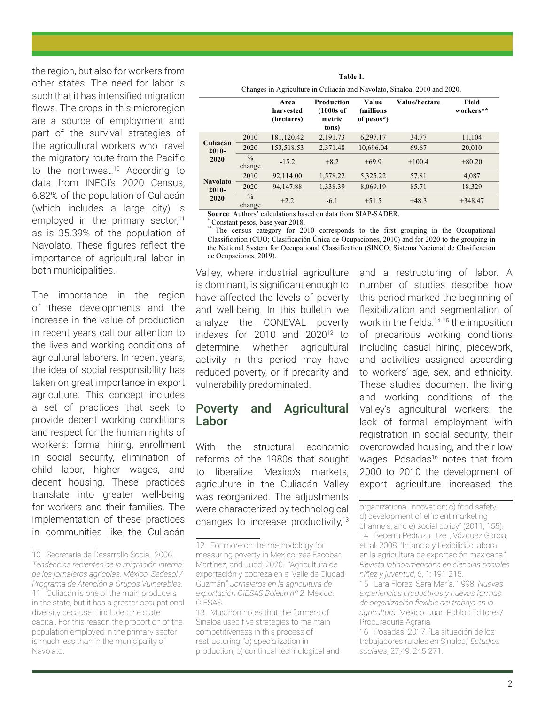the region, but also for workers from other states. The need for labor is such that it has intensified migration flows. The crops in this microregion are a source of employment and part of the survival strategies of the agricultural workers who travel the migratory route from the Pacific to the northwest.10 According to data from INEGI's 2020 Census, 6.82% of the population of Culiacán (which includes a large city) is employed in the primary sector, $11$ as is 35.39% of the population of Navolato. These figures reflect the importance of agricultural labor in both municipalities.

The importance in the region of these developments and the increase in the value of production in recent years call our attention to the lives and working conditions of agricultural laborers. In recent years, the idea of social responsibility has taken on great importance in export agriculture. This concept includes a set of practices that seek to provide decent working conditions and respect for the human rights of workers: formal hiring, enrollment in social security, elimination of child labor, higher wages, and decent housing. These practices translate into greater well-being for workers and their families. The implementation of these practices in communities like the Culiacán

|                                     | Changes in Agriculture in Culiacán and Navolato, Sinaloa, 2010 and 2020. |                                 |                                                            |                                   |               |                    |  |  |
|-------------------------------------|--------------------------------------------------------------------------|---------------------------------|------------------------------------------------------------|-----------------------------------|---------------|--------------------|--|--|
|                                     |                                                                          | Area<br>harvested<br>(hectares) | <b>Production</b><br>$(1000s$ of<br>metric<br>tons)        | Value<br>(millions)<br>of pesos*) | Value/hectare | Field<br>workers** |  |  |
| Culiacán<br>$2010 -$<br>2020        | 2010                                                                     | 181,120.42                      | 2,191.73                                                   | 6,297.17                          | 34.77         | 11,104             |  |  |
|                                     | 2020                                                                     | 153,518.53                      | 2,371.48                                                   | 10,696.04                         | 69.67         | 20,010             |  |  |
|                                     | $\frac{0}{0}$<br>change                                                  | $-15.2$                         | $+8.2$                                                     | $+69.9$                           | $+100.4$      | $+80.20$           |  |  |
|                                     | 2010                                                                     | 92,114.00                       | 1,578.22                                                   | 5,325.22                          | 57.81         | 4,087              |  |  |
| <b>Navolato</b><br>$2010 -$<br>2020 | 2020                                                                     | 94,147.88                       | 1,338.39                                                   | 8,069.19                          | 85.71         | 18,329             |  |  |
|                                     | $\frac{0}{0}$<br>change                                                  | $+2.2$                          | $-6.1$                                                     | $+51.5$                           | $+48.3$       | $+348.47$          |  |  |
|                                     |                                                                          |                                 | Course Authors' coloulations hosed on data from CIAD CADED |                                   |               |                    |  |  |

**Table 1.**

**Source**: Authors' calculations based on data from SIAP-SADER. <br> **\*** Constant pesos, base year 2018.

The census category for 2010 corresponds to the first grouping in the Occupational Classification (CUO; Clasificación Única de Ocupaciones, 2010) and for 2020 to the grouping in the National System for Occupational Classification (SINCO; Sistema Nacional de Clasificación de Ocupaciones, 2019).

Valley, where industrial agriculture is dominant, is significant enough to have affected the levels of poverty and well-being. In this bulletin we analyze the CONEVAL poverty indexes for  $2010$  and  $2020^{12}$  to determine whether agricultural activity in this period may have reduced poverty, or if precarity and vulnerability predominated.

#### Poverty and Agricultural Labor

With the structural economic reforms of the 1980s that sought to liberalize Mexico's markets, agriculture in the Culiacán Valley was reorganized. The adjustments were characterized by technological changes to increase productivity,<sup>13</sup> and a restructuring of labor. A number of studies describe how this period marked the beginning of flexibilization and segmentation of work in the fields:<sup>14 15</sup> the imposition of precarious working conditions including casual hiring, piecework, and activities assigned according to workers' age, sex, and ethnicity. These studies document the living and working conditions of the Valley's agricultural workers: the lack of formal employment with registration in social security, their overcrowded housing, and their low wages. Posadas<sup>16</sup> notes that from 2000 to 2010 the development of export agriculture increased the

organizational innovation; c) food safety; d) development of efficient marketing channels; and e) social policy" (2011, 155). 14 Becerra Pedraza, Itzel., Vázquez García, et. al. 2008. "Infancia y flexibilidad laboral en la agricultura de exportación mexicana." *Revista latinoamericana en ciencias sociales niñez y juventud*, 6, 1: 191-215.

15 Lara Flores, Sara María. 1998. *Nuevas experiencias productivas y nuevas formas de organización flexible del trabajo en la agricultura.* México: Juan Pablos Editores/ Procuraduría Agraria.

16 Posadas. 2017. "La situación de los trabajadores rurales en Sinaloa," *Estudios sociales*, 27,49: 245-271.

<sup>10</sup> Secretaría de Desarrollo Social. 2006. *Tendencias recientes de la migración interna de los jornaleros agrícolas, México, Sedesol / Programa de Atención a Grupos Vulnerables.* 11 Culiacán is one of the main producers in the state, but it has a greater occupational diversity because it includes the state capital. For this reason the proportion of the population employed in the primary sector is much less than in the municipality of Navolato.

<sup>12</sup> For more on the methodology for measuring poverty in Mexico, see Escobar, Martínez, and Judd, 2020. "Agricultura de exportación y pobreza en el Valle de Ciudad Guzmán," *Jornaleros en la agricultura de exportación CIESAS Boletín nº 2.* México: CIESAS.

<sup>13</sup> Marañón notes that the farmers of Sinaloa used five strategies to maintain competitiveness in this process of restructuring: "a) specialization in production; b) continual technological and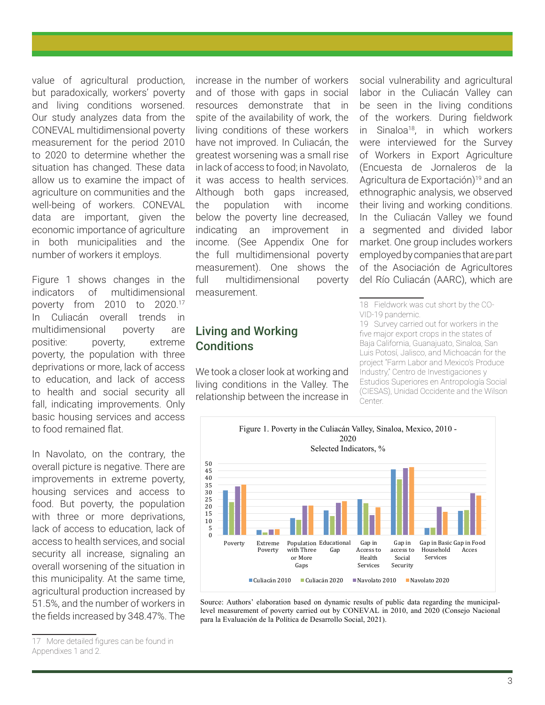value of agricultural production, but paradoxically, workers' poverty and living conditions worsened. Our study analyzes data from the CONEVAL multidimensional poverty measurement for the period 2010 to 2020 to determine whether the situation has changed. These data allow us to examine the impact of agriculture on communities and the well-being of workers. CONEVAL data are important, given the economic importance of agriculture in both municipalities and the number of workers it employs.

Figure 1 shows changes in the indicators of multidimensional poverty from 2010 to 2020.17 In Culiacán overall trends in multidimensional poverty are positive: poverty, extreme poverty, the population with three deprivations or more, lack of access to education, and lack of access to health and social security all fall, indicating improvements. Only basic housing services and access to food remained flat.

In Navolato, on the contrary, the overall picture is negative. There are improvements in extreme poverty, housing services and access to food. But poverty, the population with three or more deprivations, lack of access to education, lack of access to health services, and social security all increase, signaling an overall worsening of the situation in this municipality. At the same time, agricultural production increased by 51.5%, and the number of workers in the fields increased by 348.47%. The

increase in the number of workers and of those with gaps in social resources demonstrate that in spite of the availability of work, the living conditions of these workers have not improved. In Culiacán, the greatest worsening was a small rise in lack of access to food; in Navolato, it was access to health services. Although both gaps increased, the population with income below the poverty line decreased, indicating an improvement in income. (See Appendix One for the full multidimensional poverty measurement). One shows the full multidimensional poverty measurement.

## Living and Working **Conditions**

We took a closer look at working and living conditions in the Valley. The relationship between the increase in social vulnerability and agricultural labor in the Culiacán Valley can be seen in the living conditions of the workers. During fieldwork in Sinaloa18, in which workers were interviewed for the Survey of Workers in Export Agriculture (Encuesta de Jornaleros de la Agricultura de Exportación)<sup>19</sup> and an ethnographic analysis, we observed their living and working conditions. In the Culiacán Valley we found a segmented and divided labor market. One group includes workers employed by companies that are part of the Asociación de Agricultores del Río Culiacán (AARC), which are

<sup>19</sup> Survey carried out for workers in the five major export crops in the states of Baja California, Guanajuato, Sinaloa, San Luis Potosí, Jalisco, and Michoacán for the project "Farm Labor and Mexico's Produce Industry," Centro de Investigaciones y Estudios Superiores en Antropología Social (CIESAS), Unidad Occidente and the Wilson Center.



Source: Authors' elaboration based on dynamic results of public data regarding the municipallevel measurement of poverty carried out by CONEVAL in 2010, and 2020 (Consejo Nacional para la Evaluación de la Política de Desarrollo Social, 2021).

<sup>17</sup> More detailed figures can be found in Appendixes 1 and 2.

<sup>18</sup> Fieldwork was cut short by the CO-VID-19 pandemic.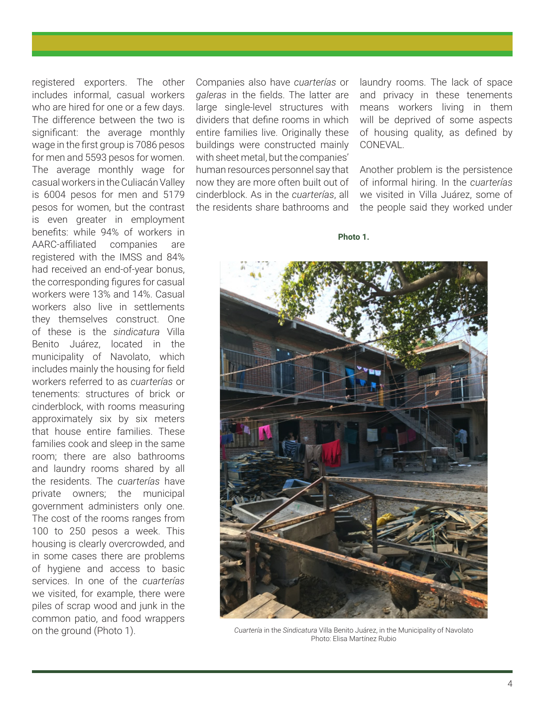registered exporters. The other includes informal, casual workers who are hired for one or a few days. The difference between the two is significant: the average monthly wage in the first group is 7086 pesos for men and 5593 pesos for women. The average monthly wage for casual workers in the Culiacán Valley is 6004 pesos for men and 5179 pesos for women, but the contrast is even greater in employment benefits: while 94% of workers in AARC-affiliated companies are registered with the IMSS and 84% had received an end-of-year bonus, the corresponding figures for casual workers were 13% and 14%. Casual workers also live in settlements they themselves construct. One of these is the *sindicatura* Villa Benito Juárez, located in the municipality of Navolato, which includes mainly the housing for field workers referred to as *cuarterías* or tenements: structures of brick or cinderblock, with rooms measuring approximately six by six meters that house entire families. These families cook and sleep in the same room; there are also bathrooms and laundry rooms shared by all the residents. The *cuarterías* have private owners; the municipal government administers only one. The cost of the rooms ranges from 100 to 250 pesos a week. This housing is clearly overcrowded, and in some cases there are problems of hygiene and access to basic services. In one of the *cuarterías* we visited, for example, there were piles of scrap wood and junk in the common patio, and food wrappers on the ground (Photo 1).

Companies also have *cuarterías* or *galeras* in the fields. The latter are large single-level structures with dividers that define rooms in which entire families live. Originally these buildings were constructed mainly with sheet metal, but the companies' human resources personnel say that now they are more often built out of cinderblock. As in the *cuarterías*, all the residents share bathrooms and

laundry rooms. The lack of space and privacy in these tenements means workers living in them will be deprived of some aspects of housing quality, as defined by CONEVAL.

Another problem is the persistence of informal hiring. In the *cuarterías*  we visited in Villa Juárez, some of the people said they worked under

**Photo 1.**



*Cuartería* in the *Sindicatura* Villa Benito Juárez, in the Municipality of Navolato Photo: Elisa Martínez Rubio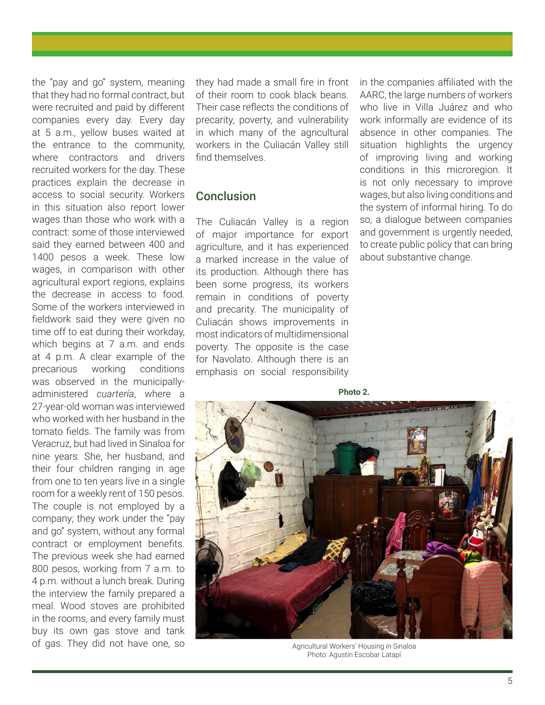the "pay and go" system, meaning that they had no formal contract, but were recruited and paid by different companies every day. Every day at 5 a.m., yellow buses waited at the entrance to the community, where contractors and drivers recruited workers for the day. These practices explain the decrease in access to social security. Workers in this situation also report lower wages than those who work with a contract: some of those interviewed said they earned between 400 and 1400 pesos a week. These low wages, in comparison with other agricultural export regions, explains the decrease in access to food. Some of the workers interviewed in fieldwork said they were given no time off to eat during their workday, which begins at 7 a.m. and ends at 4 p.m. A clear example of the precarious working conditions was observed in the municipallyadministered *cuartería*, where a 27-year-old woman was interviewed who worked with her husband in the tomato fields. The family was from Veracruz, but had lived in Sinaloa for nine years. She, her husband, and their four children ranging in age from one to ten years live in a single room for a weekly rent of 150 pesos. The couple is not employed by a company; they work under the "pay and go" system, without any formal contract or employment benefits. The previous week she had earned 800 pesos, working from 7 a.m. to 4 p.m. without a lunch break. During the interview the family prepared a meal. Wood stoves are prohibited in the rooms, and every family must buy its own gas stove and tank of gas. They did not have one, so

they had made a small fire in front of their room to cook black beans. Their case reflects the conditions of precarity, poverty, and vulnerability in which many of the agricultural workers in the Culiacán Valley still find themselves.

### Conclusion

The Culiacán Valley is a region of major importance for export agriculture, and it has experienced a marked increase in the value of its production. Although there has been some progress, its workers remain in conditions of poverty and precarity. The municipality of Culiacán shows improvements in most indicators of multidimensional poverty. The opposite is the case for Navolato. Although there is an emphasis on social responsibility

in the companies affiliated with the AARC, the large numbers of workers who live in Villa Juárez and who work informally are evidence of its absence in other companies. The situation highlights the urgency of improving living and working conditions in this microregion. It is not only necessary to improve wages, but also living conditions and the system of informal hiring. To do so, a dialogue between companies and government is urgently needed, to create public policy that can bring about substantive change.

**Photo 2.** Agricultural Workers' Housing in Sinaloa

Photo: Agustín Escobar Latapí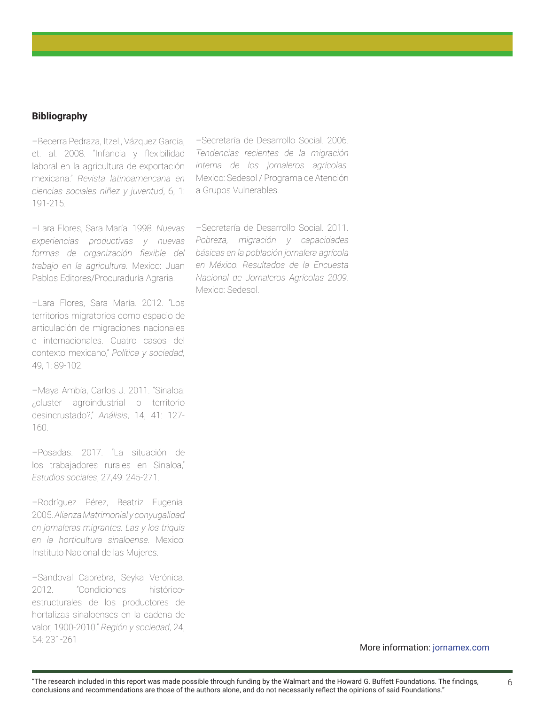#### **Bibliography**

–Becerra Pedraza, Itzel., Vázquez García, et. al. 2008. "Infancia y flexibilidad laboral en la agricultura de exportación mexicana." *Revista latinoamericana en ciencias sociales niñez y juventud*, 6, 1: 191-215.

–Lara Flores, Sara María. 1998. *Nuevas experiencias productivas y nuevas formas de organización flexible del trabajo en la agricultura.* Mexico: Juan Pablos Editores/Procuraduría Agraria.

–Lara Flores, Sara María. 2012. "Los territorios migratorios como espacio de articulación de migraciones nacionales e internacionales. Cuatro casos del contexto mexicano," *Política y sociedad,*  49, 1: 89-102.

–Maya Ambía, Carlos J. 2011. "Sinaloa: ¿cluster agroindustrial o territorio desincrustado?," *Análisis*, 14, 41: 127- 160.

–Posadas. 2017. "La situación de los trabajadores rurales en Sinaloa," *Estudios sociales*, 27,49: 245-271.

–Rodríguez Pérez, Beatriz Eugenia. 2005. *Alianza Matrimonial y conyugalidad en jornaleras migrantes. Las y los triquis en la horticultura sinaloense.* Mexico: Instituto Nacional de las Mujeres.

–Sandoval Cabrebra, Seyka Verónica. 2012. "Condiciones históricoestructurales de los productores de hortalizas sinaloenses en la cadena de valor, 1900-2010." *Región y sociedad*, 24, 54: 231-261

–Secretaría de Desarrollo Social. 2006. *Tendencias recientes de la migración interna de los jornaleros agrícolas.*  Mexico: Sedesol / Programa de Atención a Grupos Vulnerables.

–Secretaría de Desarrollo Social. 2011. *Pobreza, migración y capacidades básicas en la población jornalera agrícola en México. Resultados de la Encuesta Nacional de Jornaleros Agrícolas 2009.*  Mexico: Sedesol.

More information: jornamex.com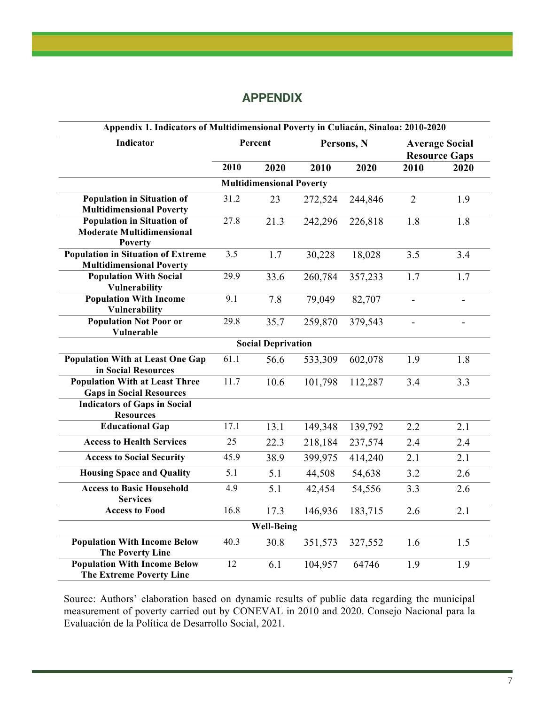### **APPENDIX**

| Appendix 1. Indicators of Multidimensional Poverty in Culiacán, Sinaloa: 2010-2020 |         |      |            |         |                                               |      |  |  |  |
|------------------------------------------------------------------------------------|---------|------|------------|---------|-----------------------------------------------|------|--|--|--|
| <b>Indicator</b>                                                                   | Percent |      | Persons, N |         | <b>Average Social</b><br><b>Resource Gaps</b> |      |  |  |  |
|                                                                                    | 2010    | 2020 | 2010       | 2020    | 2010                                          | 2020 |  |  |  |
| <b>Multidimensional Poverty</b>                                                    |         |      |            |         |                                               |      |  |  |  |
| <b>Population in Situation of</b>                                                  | 31.2    | 23   | 272,524    | 244,846 | $\overline{2}$                                | 1.9  |  |  |  |
| <b>Multidimensional Poverty</b>                                                    |         |      |            |         |                                               |      |  |  |  |
| <b>Population in Situation of</b>                                                  | 27.8    | 21.3 | 242,296    | 226,818 | 1.8                                           | 1.8  |  |  |  |
| <b>Moderate Multidimensional</b>                                                   |         |      |            |         |                                               |      |  |  |  |
| <b>Poverty</b>                                                                     |         |      |            |         |                                               |      |  |  |  |
| <b>Population in Situation of Extreme</b>                                          | 3.5     | 1.7  | 30,228     | 18,028  | 3.5                                           | 3.4  |  |  |  |
| <b>Multidimensional Poverty</b>                                                    |         |      |            |         |                                               |      |  |  |  |
| <b>Population With Social</b>                                                      | 29.9    | 33.6 | 260,784    | 357,233 | 1.7                                           | 1.7  |  |  |  |
| <b>Vulnerability</b>                                                               |         |      |            |         |                                               |      |  |  |  |
| <b>Population With Income</b>                                                      | 9.1     | 7.8  | 79,049     | 82,707  | $\overline{a}$                                |      |  |  |  |
| Vulnerability                                                                      |         |      |            |         |                                               |      |  |  |  |
| <b>Population Not Poor or</b>                                                      | 29.8    | 35.7 | 259,870    | 379,543 | $\overline{a}$                                |      |  |  |  |
| Vulnerable                                                                         |         |      |            |         |                                               |      |  |  |  |
| <b>Social Deprivation</b>                                                          |         |      |            |         |                                               |      |  |  |  |
| <b>Population With at Least One Gap</b>                                            | 61.1    | 56.6 | 533,309    | 602,078 | 1.9                                           | 1.8  |  |  |  |
| in Social Resources                                                                |         |      |            |         |                                               |      |  |  |  |
| <b>Population With at Least Three</b>                                              | 11.7    | 10.6 | 101,798    | 112,287 | 3.4                                           | 3.3  |  |  |  |
| <b>Gaps in Social Resources</b>                                                    |         |      |            |         |                                               |      |  |  |  |
| <b>Indicators of Gaps in Social</b>                                                |         |      |            |         |                                               |      |  |  |  |
| <b>Resources</b>                                                                   |         |      |            |         |                                               |      |  |  |  |
| <b>Educational Gap</b>                                                             | 17.1    | 13.1 | 149,348    | 139,792 | 2.2                                           | 2.1  |  |  |  |
| <b>Access to Health Services</b>                                                   | 25      | 22.3 | 218,184    | 237,574 | 2.4                                           | 2.4  |  |  |  |
| <b>Access to Social Security</b>                                                   | 45.9    | 38.9 | 399,975    | 414,240 | 2.1                                           | 2.1  |  |  |  |
| <b>Housing Space and Quality</b>                                                   | 5.1     | 5.1  | 44,508     | 54,638  | 3.2                                           | 2.6  |  |  |  |
| <b>Access to Basic Household</b><br><b>Services</b>                                | 4.9     | 5.1  | 42,454     | 54,556  | 3.3                                           | 2.6  |  |  |  |
| <b>Access to Food</b>                                                              | 16.8    |      |            |         |                                               |      |  |  |  |
|                                                                                    |         | 17.3 | 146,936    | 183,715 | 2.6                                           | 2.1  |  |  |  |
| <b>Well-Being</b>                                                                  |         |      |            |         |                                               |      |  |  |  |
| <b>Population With Income Below</b>                                                | 40.3    | 30.8 | 351,573    | 327,552 | 1.6                                           | 1.5  |  |  |  |
| <b>The Poverty Line</b>                                                            |         |      |            |         |                                               |      |  |  |  |
| <b>Population With Income Below</b>                                                | 12      | 6.1  | 104,957    | 64746   | 1.9                                           | 1.9  |  |  |  |
| <b>The Extreme Poverty Line</b>                                                    |         |      |            |         |                                               |      |  |  |  |

Source: Authors' elaboration based on dynamic results of public data regarding the municipal measurement of poverty carried out by CONEVAL in 2010 and 2020. Consejo Nacional para la Evaluación de la Política de Desarrollo Social, 2021.